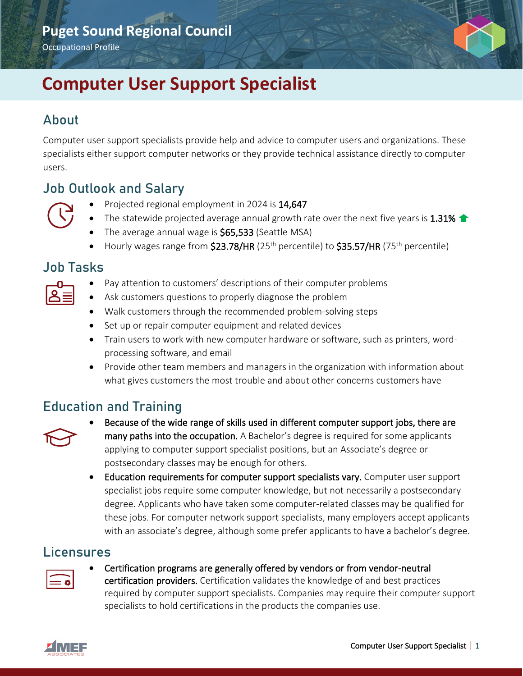# **Puget Sound Regional Council**

Occupational Profile

# **Computer User Support Specialist**

# About

Computer user support specialists provide help and advice to computer users and organizations. These specialists either support computer networks or they provide technical assistance directly to computer users.

#### Job Outlook and Salary

- Projected regional employment in 2024 is 14,647
- The statewide projected average annual growth rate over the next five years is 1.31%  $\blacktriangle$
- The average annual wage is \$65,533 (Seattle MSA)
- Hourly wages range from \$23.78/HR (25<sup>th</sup> percentile) to \$35.57/HR (75<sup>th</sup> percentile)

#### Job Tasks

| $\mathcal{L}(\mathcal{L})$ |  |
|----------------------------|--|

- Pay attention to customers' descriptions of their computer problems
- Ask customers questions to properly diagnose the problem
- Walk customers through the recommended problem-solving steps
- Set up or repair computer equipment and related devices
- Train users to work with new computer hardware or software, such as printers, wordprocessing software, and email
- Provide other team members and managers in the organization with information about what gives customers the most trouble and about other concerns customers have

## Education and Training



- Because of the wide range of skills used in different computer support jobs, there are many paths into the occupation. A Bachelor's degree is required for some applicants applying to computer support specialist positions, but an Associate's degree or
	- postsecondary classes may be enough for others.
- Education requirements for computer support specialists vary. Computer user support specialist jobs require some computer knowledge, but not necessarily a postsecondary degree. Applicants who have taken some computer-related classes may be qualified for these jobs. For computer network support specialists, many employers accept applicants with an associate's degree, although some prefer applicants to have a bachelor's degree.

#### Licensures



• Certification programs are generally offered by vendors or from vendor-neutral certification providers. Certification validates the knowledge of and best practices required by computer support specialists. Companies may require their computer support specialists to hold certifications in the products the companies use.

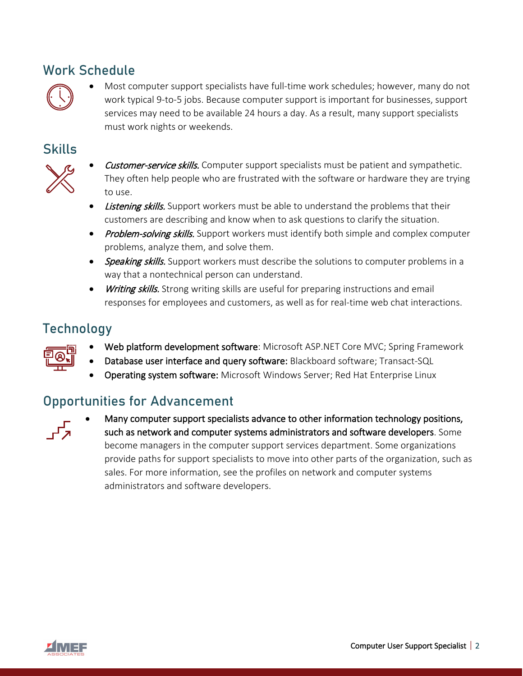## Work Schedule



• Most computer support specialists have full-time work schedules; however, many do not work typical 9-to-5 jobs. Because computer support is important for businesses, support services may need to be available 24 hours a day. As a result, many support specialists must work nights or weekends.

#### Skills



- **Customer-service skills.** Computer support specialists must be patient and sympathetic. They often help people who are frustrated with the software or hardware they are trying to use.
- Listening skills. Support workers must be able to understand the problems that their customers are describing and know when to ask questions to clarify the situation.
- Problem-solving skills. Support workers must identify both simple and complex computer problems, analyze them, and solve them.
- Speaking skills. Support workers must describe the solutions to computer problems in a way that a nontechnical person can understand.
- Writing skills. Strong writing skills are useful for preparing instructions and email responses for employees and customers, as well as for real-time web chat interactions.

# **Technology**



- Web platform development software: Microsoft ASP.NET Core MVC; Spring Framework
- Database user interface and query software: Blackboard software; Transact-SQL
- Operating system software: Microsoft Windows Server; Red Hat Enterprise Linux

## Opportunities for Advancement



• Many computer support specialists advance to other information technology positions, such as network and computer systems administrators and software developers. Some become managers in the computer support services department. Some organizations provide paths for support specialists to move into other parts of the organization, such as sales. For more information, see the profiles on network and computer systems administrators and software developers.